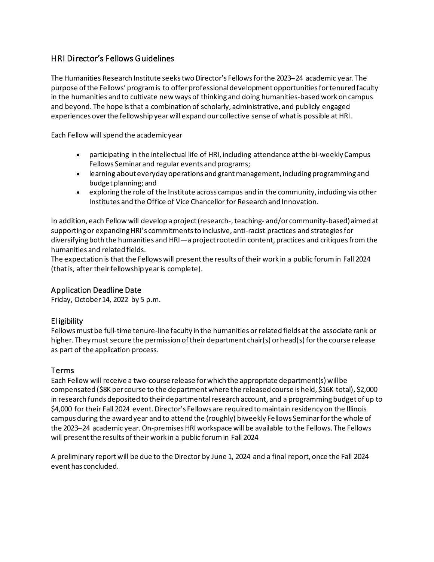# HRI Director's Fellows Guidelines

The Humanities Research Institute seeks two Director's Fellows for the 2023–24 academic year. The purpose of the Fellows' program is to offer professional development opportunities for tenured faculty in the humanities and to cultivate new ways of thinking and doing humanities-based work on campus and beyond. The hope is that a combination of scholarly, administrative, and publicly engaged experiences over the fellowship year will expand our collective sense of what is possible at HRI.

Each Fellow will spend the academic year

- participating in the intellectual life of HRI, including attendance at the bi-weekly Campus Fellows Seminar and regular events and programs;
- learning about everyday operations and grant management, including programming and budget planning; and
- exploring the role of the Institute across campus and in the community, including via other Institutes and the Office of Vice Chancellor for Research and Innovation.

In addition, each Fellow will develop a project (research-, teaching- and/or community-based) aimed at supporting or expanding HRI's commitments to inclusive, anti-racist practices and strategies for diversifying both the humanities and HRI—a project rooted in content, practices and critiques from the humanities and related fields.

The expectation is that the Fellows will present the results of their work in a public forum in Fall 2024 (that is, after their fellowship year is complete).

### Application Deadline Date

Friday, October 14, 2022 by 5 p.m.

### Eligibility

Fellows must be full-time tenure-line faculty in the humanities or related fields at the associate rank or higher. They must secure the permission of their department chair(s) or head(s) for the course release as part of the application process.

### Terms

Each Fellow will receive a two-course release for which the appropriate department(s) will be compensated (\$8K per course to the department where the released course is held, \$16K total), \$2,000 in research funds deposited to their departmental research account, and a programming budget of up to \$4,000 for their Fall 2024 event. Director's Fellows are required to maintain residency on the Illinois campus during the award year and to attend the (roughly) biweekly Fellows Seminar for the whole of the 2023–24 academic year.On-premises HRI workspace will be available to the Fellows. The Fellows will present the results of their work in a public forum in Fall 2024

A preliminary report will be due to the Director by June 1, 2024 and a final report, once the Fall 2024 event has concluded.